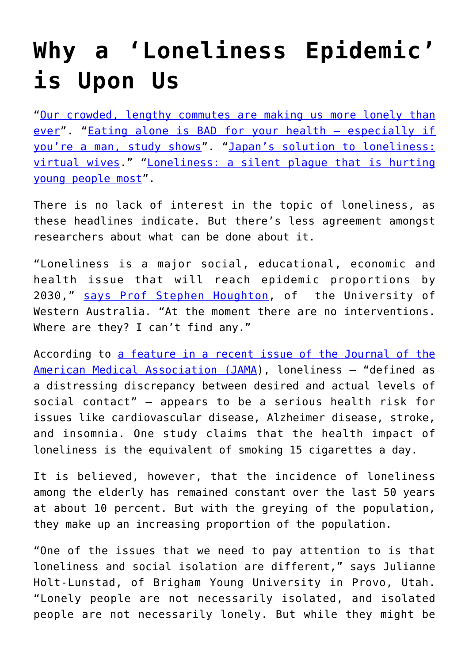## **[Why a 'Loneliness Epidemic'](https://intellectualtakeout.org/2018/01/why-a-loneliness-epidemic-is-upon-us/) [is Upon Us](https://intellectualtakeout.org/2018/01/why-a-loneliness-epidemic-is-upon-us/)**

"[Our crowded, lengthy commutes are making us more lonely than](https://qz.com/1114348/our-crowded-length-commutes-are-making-us-more-lonely-than-ever/) [ever"](https://qz.com/1114348/our-crowded-length-commutes-are-making-us-more-lonely-than-ever/). ["Eating alone is BAD for your health – especially if](http://www.dailymail.co.uk/health/article-5036291/Eating-BAD-especially-male.html) [you're a man, study shows"](http://www.dailymail.co.uk/health/article-5036291/Eating-BAD-especially-male.html). "[Japan's solution to loneliness:](https://daily.jstor.org/japans-solution-to-loneliness-virtual-wives/) [virtual wives](https://daily.jstor.org/japans-solution-to-loneliness-virtual-wives/)." "[Loneliness: a silent plague that is hurting](https://www.theguardian.com/lifeandstyle/2014/jul/20/loneliness-britains-silent-plague-hurts-young-people-most) [young people most"](https://www.theguardian.com/lifeandstyle/2014/jul/20/loneliness-britains-silent-plague-hurts-young-people-most).

There is no lack of interest in the topic of loneliness, as these headlines indicate. But there's less agreement amongst researchers about what can be done about it.

"Loneliness is a major social, educational, economic and health issue that will reach epidemic proportions by 2030," [says Prof Stephen Houghton](http://www.theage.com.au/victoria/loneliness-what-it-is-how-it-makes-you-sick-and-how-to-cure-it-20170621-gwvikj.html), of the University of Western Australia. "At the moment there are no interventions. Where are they? I can't find any."

According to [a feature in a recent issue of the Journal of the](https://jamanetwork.com/journals/jama/fullarticle/2661516) [American Medical Association \(JAMA](https://jamanetwork.com/journals/jama/fullarticle/2661516)), loneliness – "defined as a distressing discrepancy between desired and actual levels of social contact" — appears to be a serious health risk for issues like cardiovascular disease, Alzheimer disease, stroke, and insomnia. One study claims that the health impact of loneliness is the equivalent of smoking 15 cigarettes a day.

It is believed, however, that the incidence of loneliness among the elderly has remained constant over the last 50 years at about 10 percent. But with the greying of the population, they make up an increasing proportion of the population.

"One of the issues that we need to pay attention to is that loneliness and social isolation are different," says Julianne Holt-Lunstad, of Brigham Young University in Provo, Utah. "Lonely people are not necessarily isolated, and isolated people are not necessarily lonely. But while they might be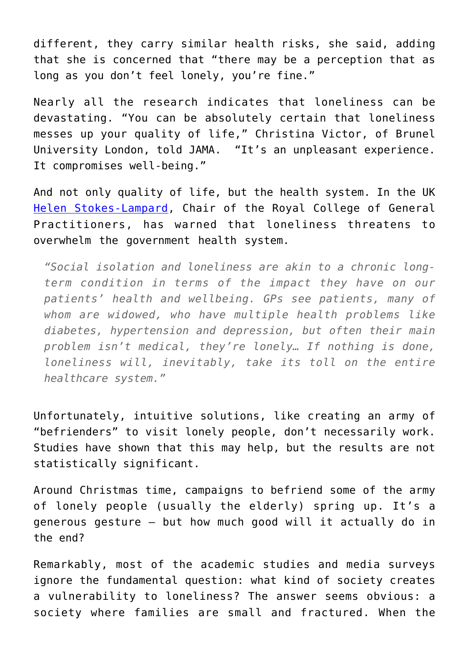different, they carry similar health risks, she said, adding that she is concerned that "there may be a perception that as long as you don't feel lonely, you're fine."

Nearly all the research indicates that loneliness can be devastating. "You can be absolutely certain that loneliness messes up your quality of life," Christina Victor, of Brunel University London, told JAMA. "It's an unpleasant experience. It compromises well-being."

And not only quality of life, but the health system. In the UK [Helen Stokes-Lampard,](http://www.rcgp.org.uk/news/2017/october/loneliness-can-be-as-bad-for-health-as-a-chronic-long-term-condition-says-gp-leader.aspx) Chair of the Royal College of General Practitioners, has warned that loneliness threatens to overwhelm the government health system.

*"Social isolation and loneliness are akin to a chronic longterm condition in terms of the impact they have on our patients' health and wellbeing. GPs see patients, many of whom are widowed, who have multiple health problems like diabetes, hypertension and depression, but often their main problem isn't medical, they're lonely… If nothing is done, loneliness will, inevitably, take its toll on the entire healthcare system."*

Unfortunately, intuitive solutions, like creating an army of "befrienders" to visit lonely people, don't necessarily work. Studies have shown that this may help, but the results are not statistically significant.

Around Christmas time, campaigns to befriend some of the army of lonely people (usually the elderly) spring up. It's a generous gesture – but how much good will it actually do in the end?

Remarkably, most of the academic studies and media surveys ignore the fundamental question: what kind of society creates a vulnerability to loneliness? The answer seems obvious: a society where families are small and fractured. When the